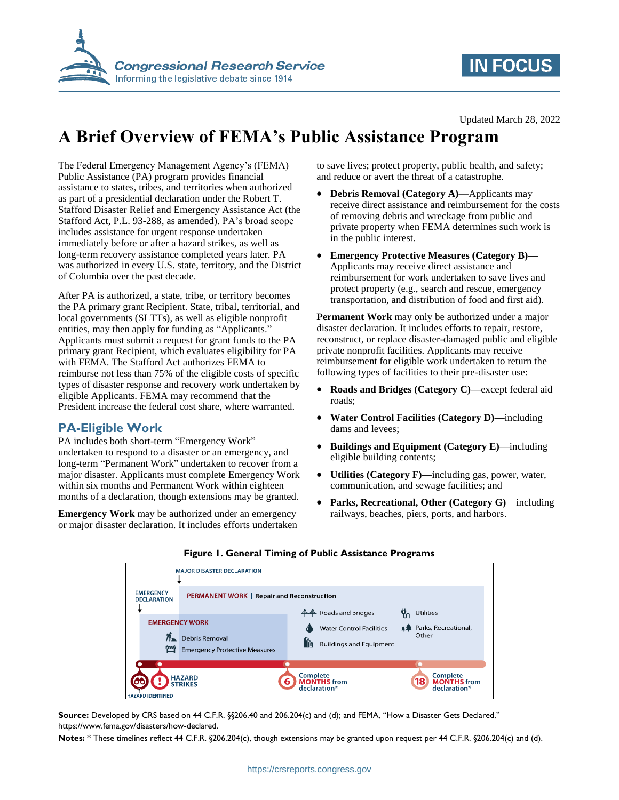



Updated March 28, 2022

# **A Brief Overview of FEMA's Public Assistance Program**

The Federal Emergency Management Agency's (FEMA) Public Assistance (PA) program provides financial assistance to states, tribes, and territories when authorized as part of a presidential declaration under the Robert T. Stafford Disaster Relief and Emergency Assistance Act (the Stafford Act, P.L. 93-288, as amended). PA's broad scope includes assistance for urgent response undertaken immediately before or after a hazard strikes, as well as long-term recovery assistance completed years later. PA was authorized in every U.S. state, territory, and the District of Columbia over the past decade.

After PA is authorized, a state, tribe, or territory becomes the PA primary grant Recipient. State, tribal, territorial, and local governments (SLTTs), as well as eligible nonprofit entities, may then apply for funding as "Applicants." Applicants must submit a request for grant funds to the PA primary grant Recipient, which evaluates eligibility for PA with FEMA. The Stafford Act authorizes FEMA to reimburse not less than 75% of the eligible costs of specific types of disaster response and recovery work undertaken by eligible Applicants. FEMA may recommend that the President increase the federal cost share, where warranted.

### **PA-Eligible Work**

PA includes both short-term "Emergency Work" undertaken to respond to a disaster or an emergency, and long-term "Permanent Work" undertaken to recover from a major disaster. Applicants must complete Emergency Work within six months and Permanent Work within eighteen months of a declaration, though extensions may be granted.

**Emergency Work** may be authorized under an emergency or major disaster declaration. It includes efforts undertaken to save lives; protect property, public health, and safety; and reduce or avert the threat of a catastrophe.

- **Debris Removal (Category A)**—Applicants may receive direct assistance and reimbursement for the costs of removing debris and wreckage from public and private property when FEMA determines such work is in the public interest.
- **Emergency Protective Measures (Category B)—** Applicants may receive direct assistance and reimbursement for work undertaken to save lives and protect property (e.g., search and rescue, emergency transportation, and distribution of food and first aid).

**Permanent Work** may only be authorized under a major disaster declaration. It includes efforts to repair, restore, reconstruct, or replace disaster-damaged public and eligible private nonprofit facilities. Applicants may receive reimbursement for eligible work undertaken to return the following types of facilities to their pre-disaster use:

- **Roads and Bridges (Category C)—**except federal aid roads;
- **Water Control Facilities (Category D)—**including dams and levees;
- **Buildings and Equipment (Category E)—**including eligible building contents;
- **Utilities (Category F)—**including gas, power, water, communication, and sewage facilities; and
- **Parks, Recreational, Other (Category G)**—including railways, beaches, piers, ports, and harbors.

| <b>EMERGENCY</b><br><b>DECLARATION</b><br><b>EMERGENCY WORK</b><br>倥 | <b>MAJOR DISASTER DECLARATION</b><br><b>PERMANENT WORK   Repair and Reconstruction</b><br><b>Debris Removal</b><br><b>Emergency Protective Measures</b> | <b>44</b> Roads and Bridges<br><b>Water Control Facilities</b><br><b>Buildings and Equipment</b> | <b>Utilities</b><br>Parks, Recreational,<br>Other    |
|----------------------------------------------------------------------|---------------------------------------------------------------------------------------------------------------------------------------------------------|--------------------------------------------------------------------------------------------------|------------------------------------------------------|
| <b>HAZARD IDENTIFIED</b>                                             | <b>HAZARD</b><br><b>TRIKES</b>                                                                                                                          | <b>Complete</b><br><b>MONTHS</b> from<br>declaration*                                            | Complete<br><b>MONTHS</b> from<br>18<br>declaration* |

#### **Figure 1. General Timing of Public Assistance Programs**

**Source:** Developed by CRS based on 44 C.F.R. §§206.40 and 206.204(c) and (d); and FEMA, "How a Disaster Gets Declared," https://www.fema.gov/disasters/how-declared.

**Notes:** \* These timelines reflect 44 C.F.R. §206.204(c), though extensions may be granted upon request per 44 C.F.R. §206.204(c) and (d).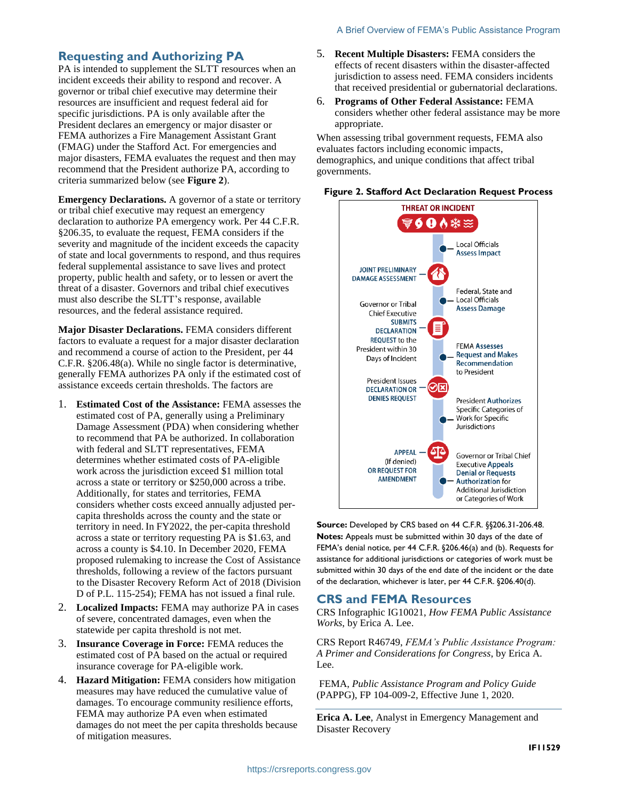#### **Requesting and Authorizing PA**

PA is intended to supplement the SLTT resources when an incident exceeds their ability to respond and recover. A governor or tribal chief executive may determine their resources are insufficient and request federal aid for specific jurisdictions. PA is only available after the President declares an emergency or major disaster or FEMA authorizes a Fire Management Assistant Grant (FMAG) under the Stafford Act. For emergencies and major disasters, FEMA evaluates the request and then may recommend that the President authorize PA, according to criteria summarized below (see **[Figure 2](#page-1-0)**).

**Emergency Declarations.** A governor of a state or territory or tribal chief executive may request an emergency declaration to authorize PA emergency work. Per 44 C.F.R. §206.35, to evaluate the request, FEMA considers if the severity and magnitude of the incident exceeds the capacity of state and local governments to respond, and thus requires federal supplemental assistance to save lives and protect property, public health and safety, or to lessen or avert the threat of a disaster. Governors and tribal chief executives must also describe the SLTT's response, available resources, and the federal assistance required.

**Major Disaster Declarations.** FEMA considers different factors to evaluate a request for a major disaster declaration and recommend a course of action to the President, per 44 C.F.R. §206.48(a). While no single factor is determinative, generally FEMA authorizes PA only if the estimated cost of assistance exceeds certain thresholds. The factors are

- 1. **Estimated Cost of the Assistance:** FEMA assesses the estimated cost of PA, generally using a Preliminary Damage Assessment (PDA) when considering whether to recommend that PA be authorized. In collaboration with federal and SLTT representatives, FEMA determines whether estimated costs of PA-eligible work across the jurisdiction exceed \$1 million total across a state or territory or \$250,000 across a tribe. Additionally, for states and territories, FEMA considers whether costs exceed annually adjusted percapita thresholds across the county and the state or territory in need. In FY2022, the per-capita threshold across a state or territory requesting PA is \$1.63, and across a county is \$4.10. In December 2020, FEMA proposed rulemaking to increase the Cost of Assistance thresholds, following a review of the factors pursuant to the Disaster Recovery Reform Act of 2018 (Division D of P.L. 115-254); FEMA has not issued a final rule.
- 2. **Localized Impacts:** FEMA may authorize PA in cases of severe, concentrated damages, even when the statewide per capita threshold is not met.
- 3. **Insurance Coverage in Force:** FEMA reduces the estimated cost of PA based on the actual or required insurance coverage for PA-eligible work.
- 4. **Hazard Mitigation:** FEMA considers how mitigation measures may have reduced the cumulative value of damages. To encourage community resilience efforts, FEMA may authorize PA even when estimated damages do not meet the per capita thresholds because of mitigation measures.
- 5. **Recent Multiple Disasters:** FEMA considers the effects of recent disasters within the disaster-affected jurisdiction to assess need. FEMA considers incidents that received presidential or gubernatorial declarations.
- 6. **Programs of Other Federal Assistance:** FEMA considers whether other federal assistance may be more appropriate.

When assessing tribal government requests, FEMA also evaluates factors including economic impacts, demographics, and unique conditions that affect tribal governments.

<span id="page-1-0"></span>



**Source:** Developed by CRS based on 44 C.F.R. §§206.31-206.48. **Notes:** Appeals must be submitted within 30 days of the date of FEMA's denial notice, per 44 C.F.R. §206.46(a) and (b). Requests for assistance for additional jurisdictions or categories of work must be submitted within 30 days of the end date of the incident or the date of the declaration, whichever is later, per 44 C.F.R. §206.40(d).

#### **CRS and FEMA Resources**

CRS Infographic IG10021, *How FEMA Public Assistance Works*, by Erica A. Lee.

CRS Report R46749, *FEMA's Public Assistance Program: A Primer and Considerations for Congress*, by Erica A. Lee.

FEMA, *Public Assistance Program and Policy Guide* (PAPPG), FP 104-009-2, Effective June 1, 2020.

**Erica A. Lee**, Analyst in Emergency Management and Disaster Recovery